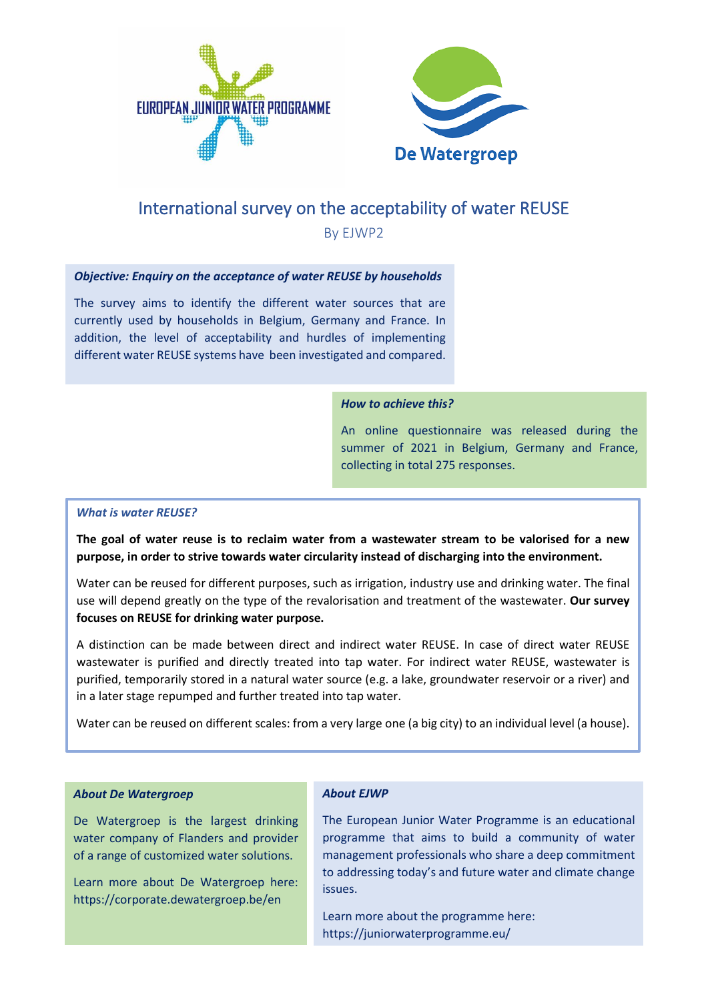



# International survey on the acceptability of water REUSE

By EJWP2

#### *Objective: Enquiry on the acceptance of water REUSE by households*

The survey aims to identify the different water sources that are currently used by households in Belgium, Germany and France. In addition, the level of acceptability and hurdles of implementing different water REUSE systems have been investigated and compared.

#### *How to achieve this?*

An online questionnaire was released during the summer of 2021 in Belgium, Germany and France, collecting in total 275 responses.

#### *What is water REUSE?*

**The goal of water reuse is to reclaim water from a wastewater stream to be valorised for a new purpose, in order to strive towards water circularity instead of discharging into the environment.**

Water can be reused for different purposes, such as irrigation, industry use and drinking water. The final use will depend greatly on the type of the revalorisation and treatment of the wastewater. **Our survey focuses on REUSE for drinking water purpose.**

A distinction can be made between direct and indirect water REUSE. In case of direct water REUSE wastewater is purified and directly treated into tap water. For indirect water REUSE, wastewater is purified, temporarily stored in a natural water source (e.g. a lake, groundwater reservoir or a river) and in a later stage repumped and further treated into tap water.

Water can be reused on different scales: from a very large one (a big city) to an individual level (a house).

#### *About De Watergroep*

De Watergroep is the largest drinking water company of Flanders and provider of a range of customized water solutions.

Learn more about De Watergroep here: https://corporate.dewatergroep.be/en

#### *About EJWP*

The European Junior Water Programme is an educational programme that aims to build a community of water management professionals who share a deep commitment to addressing today's and future water and climate change issues.

Learn more about the programme here: https://juniorwaterprogramme.eu/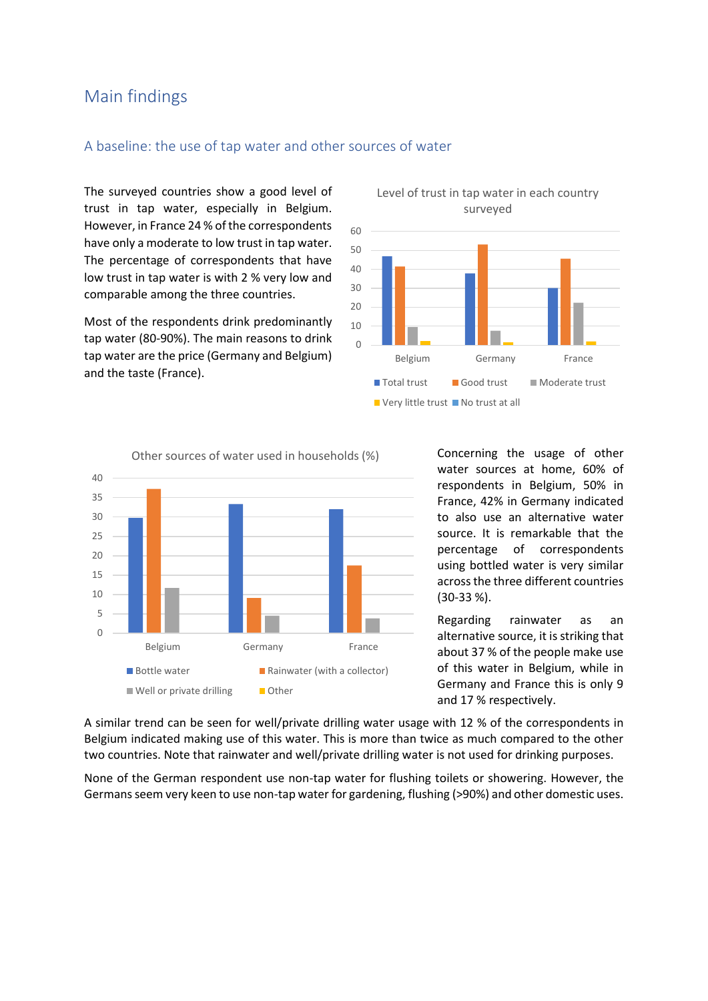## Main findings

#### A baseline: the use of tap water and other sources of water

The surveyed countries show a good level of trust in tap water, especially in Belgium. However, in France 24 % of the correspondents have only a moderate to low trust in tap water. The percentage of correspondents that have low trust in tap water is with 2 % very low and comparable among the three countries.

Most of the respondents drink predominantly tap water (80-90%). The main reasons to drink tap water are the price (Germany and Belgium) and the taste (France).



Level of trust in tap water in each country



Concerning the usage of other water sources at home, 60% of respondents in Belgium, 50% in France, 42% in Germany indicated to also use an alternative water source. It is remarkable that the percentage of correspondents using bottled water is very similar across the three different countries (30-33 %).

Regarding rainwater as an alternative source, it is striking that about 37 % of the people make use of this water in Belgium, while in Germany and France this is only 9 and 17 % respectively.

A similar trend can be seen for well/private drilling water usage with 12 % of the correspondents in Belgium indicated making use of this water. This is more than twice as much compared to the other two countries. Note that rainwater and well/private drilling water is not used for drinking purposes.

None of the German respondent use non-tap water for flushing toilets or showering. However, the Germans seem very keen to use non-tap water for gardening, flushing (>90%) and other domestic uses.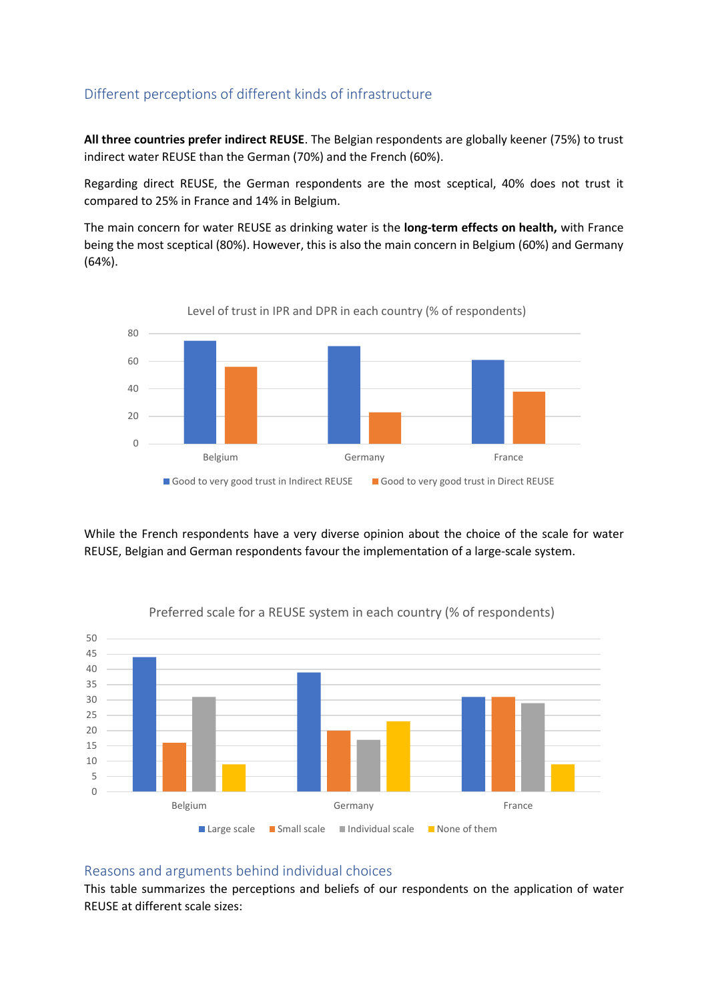## Different perceptions of different kinds of infrastructure

**All three countries prefer indirect REUSE**. The Belgian respondents are globally keener (75%) to trust indirect water REUSE than the German (70%) and the French (60%).

Regarding direct REUSE, the German respondents are the most sceptical, 40% does not trust it compared to 25% in France and 14% in Belgium.

The main concern for water REUSE as drinking water is the **long-term effects on health,** with France being the most sceptical (80%). However, this is also the main concern in Belgium (60%) and Germany (64%).



While the French respondents have a very diverse opinion about the choice of the scale for water REUSE, Belgian and German respondents favour the implementation of a large-scale system.



#### Preferred scale for a REUSE system in each country (% of respondents)

#### Reasons and arguments behind individual choices

This table summarizes the perceptions and beliefs of our respondents on the application of water REUSE at different scale sizes: